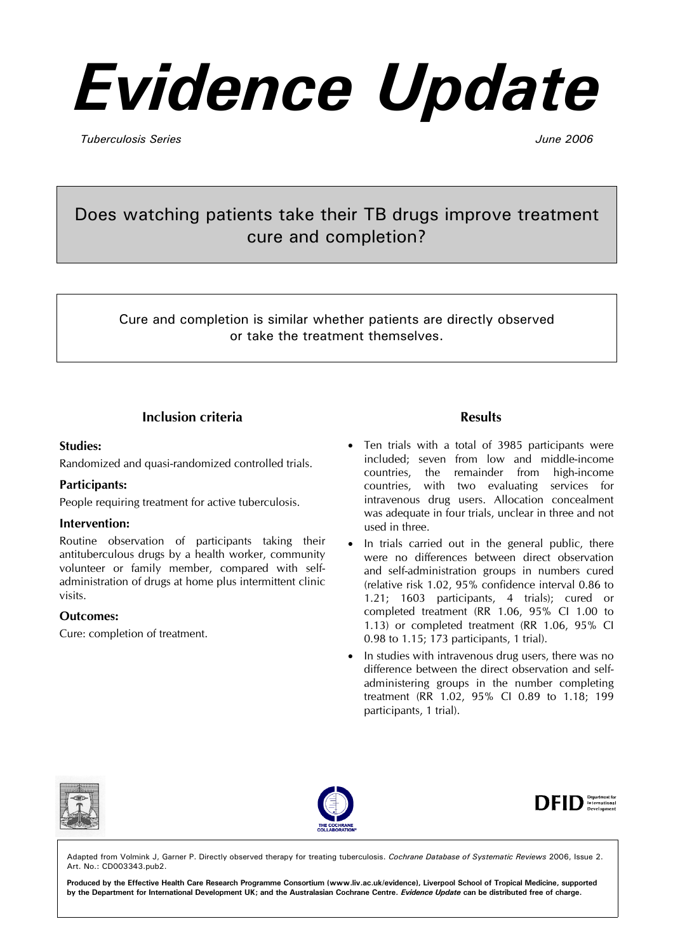# *Evidence Update*

*Tuberculosis Series June 2006* 

# Does watching patients take their TB drugs improve treatment cure and completion?

Cure and completion is similar whether patients are directly observed or take the treatment themselves.

# **Inclusion criteria**

#### **Studies:**

Randomized and quasi-randomized controlled trials.

#### **Participants:**

People requiring treatment for active tuberculosis.

#### **Intervention:**

Routine observation of participants taking their antituberculous drugs by a health worker, community volunteer or family member, compared with selfadministration of drugs at home plus intermittent clinic visits.

#### **Outcomes:**

Cure: completion of treatment.

#### **Results**

- Ten trials with a total of 3985 participants were included; seven from low and middle-income countries, the remainder from high-income countries, with two evaluating services for intravenous drug users. Allocation concealment was adequate in four trials, unclear in three and not used in three.
- In trials carried out in the general public, there were no differences between direct observation and self-administration groups in numbers cured (relative risk 1.02, 95% confidence interval 0.86 to 1.21; 1603 participants, 4 trials); cured or completed treatment (RR 1.06, 95% CI 1.00 to 1.13) or completed treatment (RR 1.06, 95% CI 0.98 to 1.15; 173 participants, 1 trial).
- In studies with intravenous drug users, there was no difference between the direct observation and selfadministering groups in the number completing treatment (RR 1.02, 95% CI 0.89 to 1.18; 199 participants, 1 trial).







Adapted from Volmink J, Garner P. Directly observed therapy for treating tuberculosis. *Cochrane Database of Systematic Reviews* 2006, Issue 2. Art. No.: CD003343.pub2.

**Produced by the Effective Health Care Research Programme Consortium (www.liv.ac.uk/evidence), Liverpool School of Tropical Medicine, supported by the Department for International Development UK; and the Australasian Cochrane Centre.** *Evidence Update* **can be distributed free of charge.**